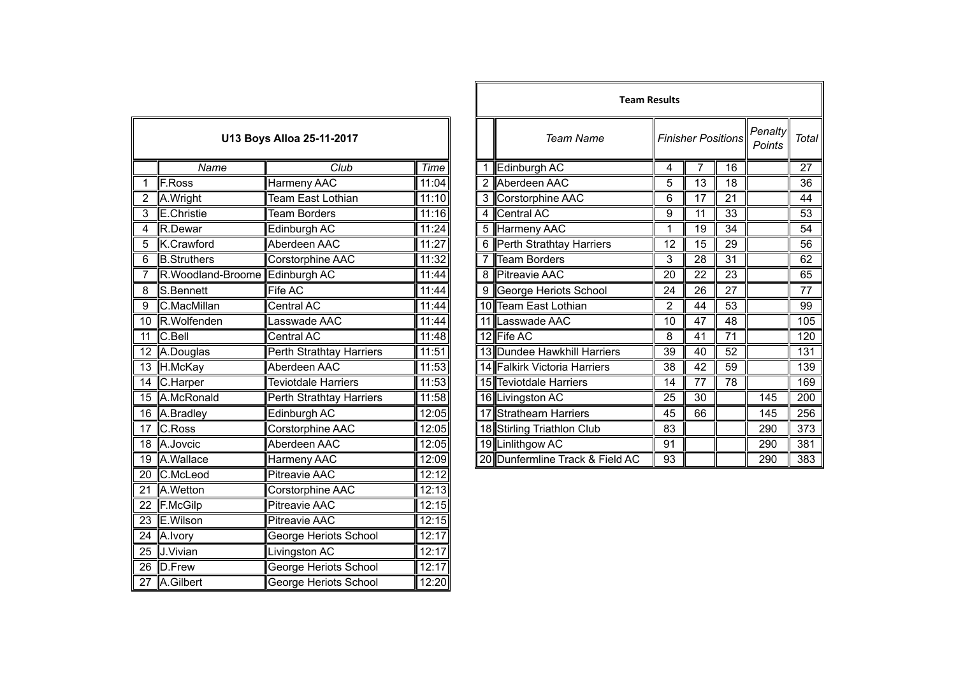| U13 Boys Alloa 25-11-2017 |                                 |                            |       |  |
|---------------------------|---------------------------------|----------------------------|-------|--|
|                           | Name                            | Club                       | Time  |  |
| $\overline{1}$            | <b>F.Ross</b>                   | <b>Harmeny AAC</b>         | 11:04 |  |
| $\overline{2}$            | A.Wright                        | Team East Lothian          | 11:10 |  |
| $\overline{3}$            | E.Christie                      | <b>Team Borders</b>        | 11:16 |  |
| 4                         | R.Dewar                         | Edinburgh AC               | 11:24 |  |
| 5                         | K.Crawford                      | Aberdeen AAC               | 11:27 |  |
| 6                         | <b>B.Struthers</b>              | Corstorphine AAC           | 11:32 |  |
| 7                         | R. Woodland-Broome Edinburgh AC |                            | 11:44 |  |
| 8                         | S.Bennett                       | Fife AC                    | 11:44 |  |
| 9                         | C.MacMillan                     | Central AC                 | 11:44 |  |
| $\overline{10}$           | R.Wolfenden                     | Lasswade AAC               | 11:44 |  |
| 11                        | C.Bell                          | Central AC                 | 11:48 |  |
|                           | 12 A.Douglas                    | Perth Strathtay Harriers   | 11:51 |  |
|                           | 13 H.McKay                      | Aberdeen AAC               | 11:53 |  |
| $\overline{14}$           | C.Harper                        | <b>Teviotdale Harriers</b> | 11:53 |  |
| $\overline{15}$           | A.McRonald                      | Perth Strathtay Harriers   | 11:58 |  |
| $\overline{16}$           | A.Bradley                       | Edinburgh AC               | 12:05 |  |
| $\overline{17}$           | C.Ross                          | Corstorphine AAC           | 12:05 |  |
| 18                        | A.Jovcic                        | Aberdeen AAC               | 12:05 |  |
| 19                        | A.Wallace                       | Harmeny AAC                | 12:09 |  |
| 20                        | C.McLeod                        | Pitreavie AAC              | 12:12 |  |
| $\overline{21}$           | A.Wetton                        | Corstorphine AAC           | 12:13 |  |
| 22                        | F.McGilp                        | <b>Pitreavie AAC</b>       | 12:15 |  |
| $\overline{23}$           | E.Wilson                        | <b>Pitreavie AAC</b>       | 12:15 |  |
| $\overline{24}$           | A.Ivory                         | George Heriots School      | 12:17 |  |
| 25                        | J.Vivian                        | <b>Livingston AC</b>       | 12:17 |  |
| $\overline{26}$           | D.Frew                          | George Heriots School      | 12:17 |  |
| $\overline{27}$           | A.Gilbert                       | George Heriots School      | 12:20 |  |

|                |                                  |                            |                    |   |                                 | <b>Team Results</b> |                           |                 |                   |       |
|----------------|----------------------------------|----------------------------|--------------------|---|---------------------------------|---------------------|---------------------------|-----------------|-------------------|-------|
|                |                                  | U13 Boys Alloa 25-11-2017  |                    |   | Team Name                       |                     | <b>Finisher Positions</b> |                 | Penalty<br>Points | Total |
|                | Name                             | Club                       | Time               |   | Edinburgh AC                    | 4                   |                           | 16              |                   | 27    |
|                | F.Ross                           | Harmeny AAC                | 11:04              |   | 2 Aberdeen AAC                  | 5                   | 13                        | 18              |                   | 36    |
|                | A.Wright                         | Team East Lothian          | 11:10              |   | 3 Corstorphine AAC              | 6                   | 17                        | 21              |                   | 44    |
| 3              | E.Christie                       | <b>Team Borders</b>        | 11:16              | 4 | Central AC                      | 9                   | 11                        | 33              |                   | 53    |
| 4              | R.Dewar                          | Edinburgh AC               | 11:24              |   | 5 Harmeny AAC                   | 1                   | 19                        | 34              |                   | 54    |
| 5              | K.Crawford                       | Aberdeen AAC               | 11:27              |   | Perth Strathtay Harriers        | 12                  | 15                        | 29              |                   | 56    |
| 6              | <b>B.Struthers</b>               | Corstorphine AAC           | 11:32              |   | <b>Team Borders</b>             | 3                   | $\overline{28}$           | $\overline{31}$ |                   | 62    |
| $\overline{7}$ | R. Woodland-Broome  Edinburgh AC |                            | 11:44              | 8 | <b>Pitreavie AAC</b>            | 20                  | 22                        | 23              |                   | 65    |
| 8              | S.Bennett                        | Fife AC                    | 11:44              |   | George Heriots School           | 24                  | $\overline{26}$           | 27              |                   | 77    |
| 9              | C.MacMillan                      | <b>Central AC</b>          | 11:44              |   | 10 Team East Lothian            | $\overline{2}$      | 44                        | 53              |                   | 99    |
|                | 10 R.Wolfenden                   | Lasswade AAC               | 11:44              |   | 11 Lasswade AAC                 | 10                  | 47                        | 48              |                   | 105   |
|                | 11 C.Bell                        | Central AC                 | 11:48              |   | 12 Fife AC                      | 8                   | 41                        | 71              |                   | 120   |
|                | 12 A.Douglas                     | Perth Strathtay Harriers   | 11:51              |   | 13 Dundee Hawkhill Harriers     | 39                  | 40                        | 52              |                   | 131   |
|                | 13 H.McKay                       | Aberdeen AAC               | 11:53              |   | 14 Falkirk Victoria Harriers    | 38                  | 42                        | 59              |                   | 139   |
|                | 14 C.Harper                      | <b>Teviotdale Harriers</b> | 11:53              |   | 15 Teviotdale Harriers          | 14                  | 77                        | 78              |                   | 169   |
|                | 15 A.McRonald                    | Perth Strathtay Harriers   | 11:58              |   | 16 Livingston AC                | 25                  | 30                        |                 | 145               | 200   |
|                | 16 A.Bradley                     | Edinburgh AC               | 12:05              |   | 17 Strathearn Harriers          | 45                  | 66                        |                 | 145               | 256   |
|                | 17 C.Ross                        | Corstorphine AAC           | $\overline{12:05}$ |   | 18 Stirling Triathlon Club      | 83                  |                           |                 | 290               | 373   |
|                | 18 A.Jovcic                      | Aberdeen AAC               | 12:05              |   | 19 Linlithgow AC                | 91                  |                           |                 | 290               | 381   |
|                | 19 A. Wallace                    | Harmeny AAC                | 12:09              |   | 20 Dunfermline Track & Field AC | 93                  |                           |                 | 290               | 383   |
|                |                                  |                            |                    |   |                                 |                     |                           |                 |                   |       |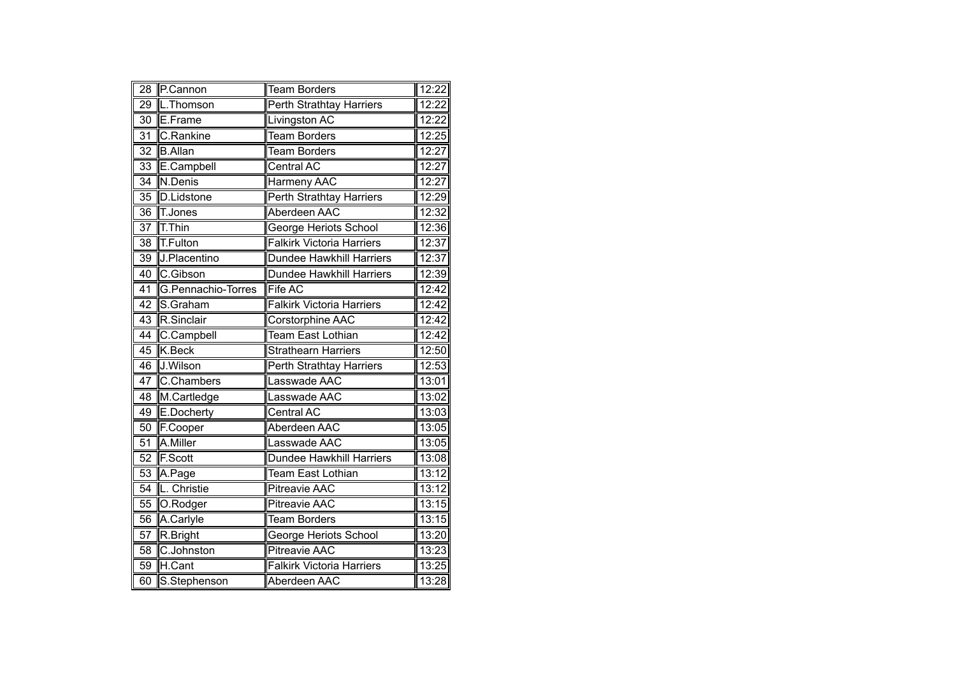| $\overline{28}$ | P.Cannon           | <b>Team Borders</b>              | 12:22 |
|-----------------|--------------------|----------------------------------|-------|
| 29              | L.Thomson          | <b>Perth Strathtay Harriers</b>  | 12:22 |
| 30              | E.Frame            | Livingston AC                    | 12:22 |
| 31              | C.Rankine          | <b>Team Borders</b>              | 12:25 |
| $\overline{32}$ | <b>B.Allan</b>     | Team Borders                     | 12:27 |
| 33              | E.Campbell         | Central AC                       | 12:27 |
| 34              | N.Denis            | Harmeny AAC                      | 12:27 |
| 35              | D.Lidstone         | Perth Strathtay Harriers         | 12:29 |
| $\overline{36}$ | T.Jones            | Aberdeen AAC                     | 12:32 |
| $\overline{37}$ | T.Thin             | George Heriots School            | 12:36 |
| 38              | <b>T.Fulton</b>    | <b>Falkirk Victoria Harriers</b> | 12:37 |
| 39              | J.Placentino       | Dundee Hawkhill Harriers         | 12:37 |
| 40              | C.Gibson           | Dundee Hawkhill Harriers         | 12:39 |
| $\overline{41}$ | G.Pennachio-Torres | Fife AC                          | 12:42 |
| 42              | S.Graham           | <b>Falkirk Victoria Harriers</b> | 12:42 |
| 43              | R.Sinclair         | Corstorphine AAC                 | 12:42 |
| 44              | C.Campbell         | Team East Lothian                | 12:42 |
| 45              | K.Beck             | <b>Strathearn Harriers</b>       | 12:50 |
| 46              | J.Wilson           | Perth Strathtay Harriers         | 12:53 |
| $\overline{47}$ | C.Chambers         | Lasswade AAC                     | 13:01 |
| 48              | M.Cartledge        | Lasswade AAC                     | 13:02 |
| 49              | E.Docherty         | <b>Central AC</b>                | 13:03 |
| 50              | F.Cooper           | Aberdeen AAC                     | 13:05 |
| 51              | A.Miller           | Lasswade AAC                     | 13:05 |
| $\overline{52}$ | <b>F.Scott</b>     | Dundee Hawkhill Harriers         | 13:08 |
| 53              | A.Page             | Team East Lothian                | 13:12 |
| 54              | L. Christie        | <b>Pitreavie AAC</b>             | 13:12 |
| 55              | O.Rodger           | <b>Pitreavie AAC</b>             | 13:15 |
| 56              | A.Carlyle          | <b>Team Borders</b>              | 13:15 |
| 57              | R.Bright           | George Heriots School            | 13:20 |
| 58              | C.Johnston         | <b>Pitreavie AAC</b>             | 13:23 |
| 59              | H.Cant             | <b>Falkirk Victoria Harriers</b> | 13:25 |
| 60              | S.Stephenson       | Aberdeen AAC                     | 13:28 |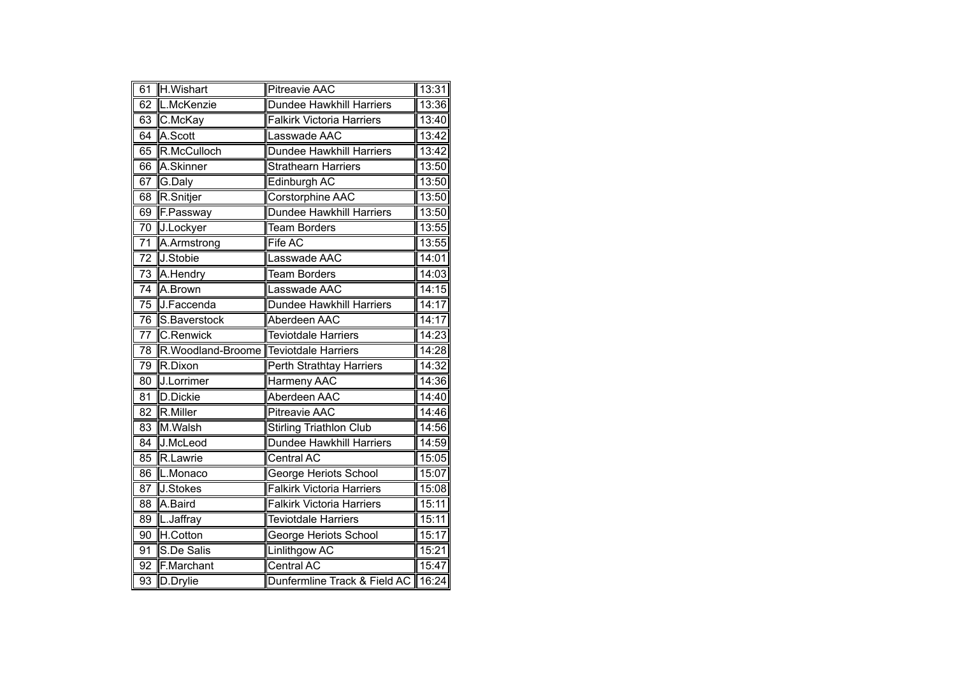| 61              | H.Wishart          | <b>Pitreavie AAC</b>               | 13:31 |
|-----------------|--------------------|------------------------------------|-------|
| 62              | L.McKenzie         | <b>Dundee Hawkhill Harriers</b>    | 13:36 |
| 63              | C.McKay            | <b>Falkirk Victoria Harriers</b>   | 13:40 |
| 64              | A.Scott            | Lasswade AAC                       | 13:42 |
| 65              | R.McCulloch        | Dundee Hawkhill Harriers           | 13:42 |
| 66              | A.Skinner          | <b>Strathearn Harriers</b>         | 13:50 |
| 67              | G.Daly             | Edinburgh AC                       | 13:50 |
| 68              | R.Snitjer          | Corstorphine AAC                   | 13:50 |
| 69              | F.Passway          | <b>Dundee Hawkhill Harriers</b>    | 13:50 |
| 70              | J.Lockyer          | <b>Team Borders</b>                | 13:55 |
| 71              | A.Armstrong        | Fife AC                            | 13:55 |
| 72              | J.Stobie           | Lasswade AAC                       | 14:01 |
| 73              | A.Hendry           | <b>Team Borders</b>                | 14:03 |
| 74              | A.Brown            | Lasswade AAC                       | 14:15 |
| 75              | J.Faccenda         | <b>Dundee Hawkhill Harriers</b>    | 14:17 |
| 76              | S.Baverstock       | Aberdeen AAC                       | 14:17 |
| $\overline{77}$ | C.Renwick          | <b>Teviotdale Harriers</b>         | 14:23 |
| 78              | R. Woodland-Broome | <b>Teviotdale Harriers</b>         | 14:28 |
| 79              | R.Dixon            | Perth Strathtay Harriers           | 14:32 |
| $\overline{80}$ | J.Lorrimer         | Harmeny AAC                        | 14:36 |
| $\overline{81}$ | <b>D.Dickie</b>    | Aberdeen AAC                       | 14:40 |
| 82              | R.Miller           | Pitreavie AAC                      | 14:46 |
| 83              | M.Walsh            | <b>Stirling Triathlon Club</b>     | 14:56 |
| 84              | J.McLeod           | Dundee Hawkhill Harriers           | 14:59 |
| 85              | R.Lawrie           | <b>Central AC</b>                  | 15:05 |
| 86              | L.Monaco           | George Heriots School              | 15:07 |
| 87              | J.Stokes           | <b>Falkirk Victoria Harriers</b>   | 15:08 |
| $\overline{88}$ | A.Baird            | <b>Falkirk Victoria Harriers</b>   | 15:11 |
| 89              | L.Jaffray          | <b>Teviotdale Harriers</b>         | 15:11 |
| 90              | H.Cotton           | George Heriots School              | 15:17 |
| 91              | S.De Salis         | <b>Linlithgow AC</b>               | 15:21 |
| $\overline{92}$ | F.Marchant         | <b>Central AC</b>                  | 15:47 |
| $\overline{93}$ | D.Drylie           | Dunfermline Track & Field AC 16:24 |       |